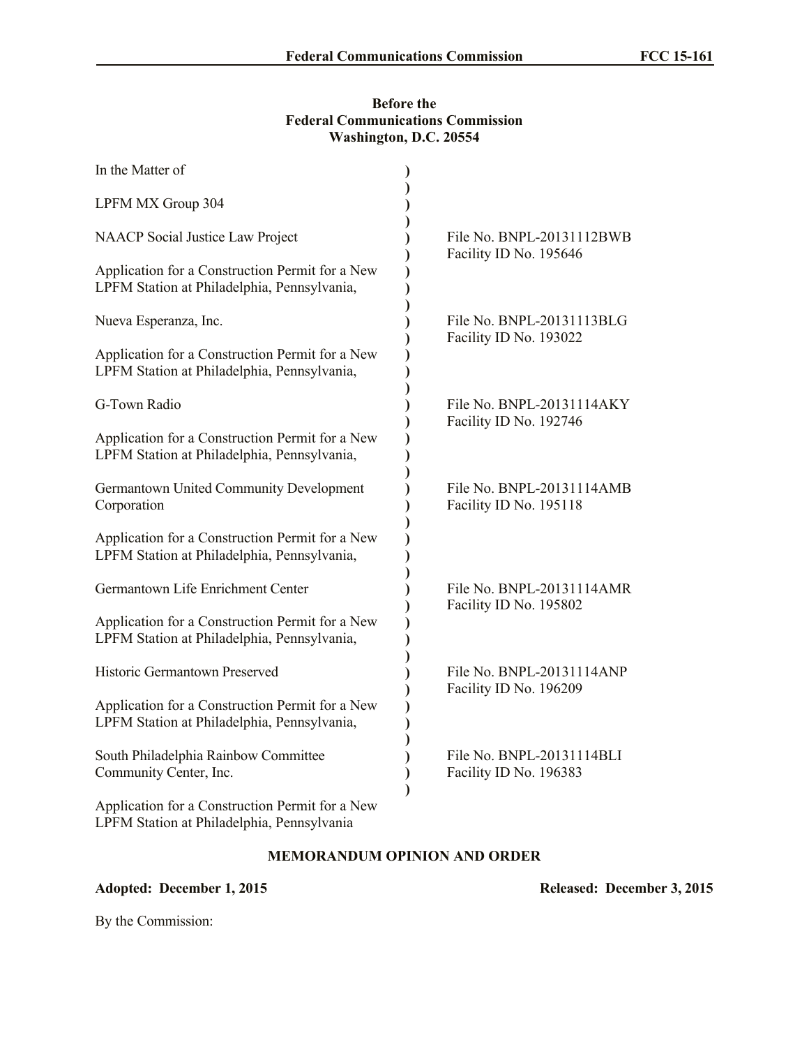## **Before the Federal Communications Commission Washington, D.C. 20554**

| In the Matter of                                                                               |                                                     |
|------------------------------------------------------------------------------------------------|-----------------------------------------------------|
| LPFM MX Group 304                                                                              |                                                     |
| <b>NAACP</b> Social Justice Law Project                                                        | File No. BNPL-20131112BWB<br>Facility ID No. 195646 |
| Application for a Construction Permit for a New<br>LPFM Station at Philadelphia, Pennsylvania, |                                                     |
| Nueva Esperanza, Inc.                                                                          | File No. BNPL-20131113BLG<br>Facility ID No. 193022 |
| Application for a Construction Permit for a New<br>LPFM Station at Philadelphia, Pennsylvania, |                                                     |
| G-Town Radio                                                                                   | File No. BNPL-20131114AKY<br>Facility ID No. 192746 |
| Application for a Construction Permit for a New<br>LPFM Station at Philadelphia, Pennsylvania, |                                                     |
| Germantown United Community Development<br>Corporation                                         | File No. BNPL-20131114AMB<br>Facility ID No. 195118 |
| Application for a Construction Permit for a New<br>LPFM Station at Philadelphia, Pennsylvania, |                                                     |
| Germantown Life Enrichment Center                                                              | File No. BNPL-20131114AMR<br>Facility ID No. 195802 |
| Application for a Construction Permit for a New<br>LPFM Station at Philadelphia, Pennsylvania, |                                                     |
| Historic Germantown Preserved                                                                  | File No. BNPL-20131114ANP<br>Facility ID No. 196209 |
| Application for a Construction Permit for a New<br>LPFM Station at Philadelphia, Pennsylvania, |                                                     |
| South Philadelphia Rainbow Committee<br>Community Center, Inc.                                 | File No. BNPL-20131114BLI<br>Facility ID No. 196383 |
| Application for a Construction Permit for a New                                                |                                                     |

## **MEMORANDUM OPINION AND ORDER**

## **Adopted: December 1, 2015 Released: December 3, 2015**

LPFM Station at Philadelphia, Pennsylvania

By the Commission: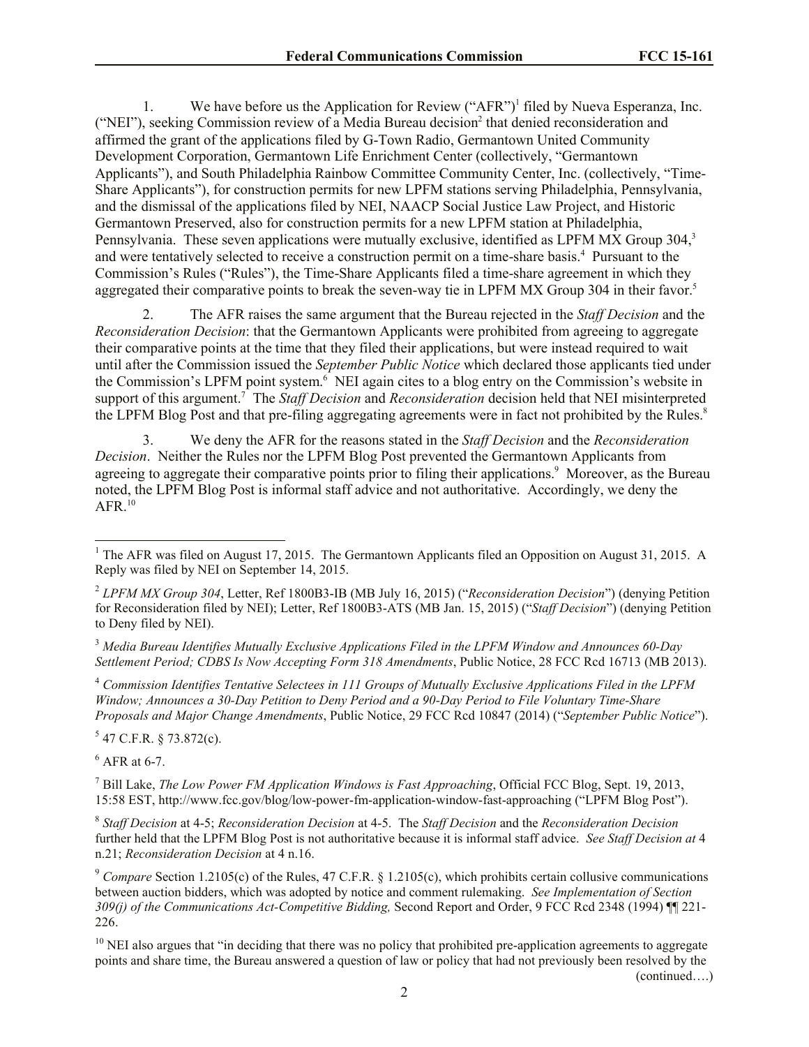1. We have before us the Application for Review ("AFR")<sup>1</sup> filed by Nueva Esperanza, Inc. ("NEI"), seeking Commission review of a Media Bureau decision<sup>2</sup> that denied reconsideration and affirmed the grant of the applications filed by G-Town Radio, Germantown United Community Development Corporation, Germantown Life Enrichment Center (collectively, "Germantown Applicants"), and South Philadelphia Rainbow Committee Community Center, Inc. (collectively, "Time-Share Applicants"), for construction permits for new LPFM stations serving Philadelphia, Pennsylvania, and the dismissal of the applications filed by NEI, NAACP Social Justice Law Project, and Historic Germantown Preserved, also for construction permits for a new LPFM station at Philadelphia, Pennsylvania. These seven applications were mutually exclusive, identified as LPFM MX Group 304,<sup>3</sup> and were tentatively selected to receive a construction permit on a time-share basis.<sup>4</sup> Pursuant to the Commission's Rules ("Rules"), the Time-Share Applicants filed a time-share agreement in which they aggregated their comparative points to break the seven-way tie in LPFM MX Group 304 in their favor.<sup>5</sup>

2. The AFR raises the same argument that the Bureau rejected in the *Staff Decision* and the *Reconsideration Decision*: that the Germantown Applicants were prohibited from agreeing to aggregate their comparative points at the time that they filed their applications, but were instead required to wait until after the Commission issued the *September Public Notice* which declared those applicants tied under the Commission's LPFM point system. 6 NEI again cites to a blog entry on the Commission's website in support of this argument.<sup>7</sup> The *Staff Decision* and *Reconsideration* decision held that NEI misinterpreted the LPFM Blog Post and that pre-filing aggregating agreements were in fact not prohibited by the Rules. 8

3. We deny the AFR for the reasons stated in the *Staff Decision* and the *Reconsideration Decision*. Neither the Rules nor the LPFM Blog Post prevented the Germantown Applicants from agreeing to aggregate their comparative points prior to filing their applications.<sup>9</sup> Moreover, as the Bureau noted, the LPFM Blog Post is informal staff advice and not authoritative. Accordingly, we deny the  $AFR$ <sup>10</sup>

<sup>3</sup> *Media Bureau Identifies Mutually Exclusive Applications Filed in the LPFM Window and Announces 60-Day Settlement Period; CDBS Is Now Accepting Form 318 Amendments*, Public Notice, 28 FCC Rcd 16713 (MB 2013).

<sup>4</sup> *Commission Identifies Tentative Selectees in 111 Groups of Mutually Exclusive Applications Filed in the LPFM Window; Announces a 30-Day Petition to Deny Period and a 90-Day Period to File Voluntary Time-Share Proposals and Major Change Amendments*, Public Notice, 29 FCC Rcd 10847 (2014) ("*September Public Notice*").

 $5$  47 C.F.R. § 73.872(c).

 $<sup>6</sup>$  AFR at 6-7.</sup>

l

<sup>7</sup> Bill Lake, *The Low Power FM Application Windows is Fast Approaching*, Official FCC Blog, Sept. 19, 2013, 15:58 EST, http://www.fcc.gov/blog/low-power-fm-application-window-fast-approaching ("LPFM Blog Post").

8 *Staff Decision* at 4-5; *Reconsideration Decision* at 4-5. The *Staff Decision* and the *Reconsideration Decision* further held that the LPFM Blog Post is not authoritative because it is informal staff advice. *See Staff Decision at* 4 n.21; *Reconsideration Decision* at 4 n.16.

(continued….)

<sup>&</sup>lt;sup>1</sup> The AFR was filed on August 17, 2015. The Germantown Applicants filed an Opposition on August 31, 2015. A Reply was filed by NEI on September 14, 2015.

<sup>2</sup> *LPFM MX Group 304*, Letter, Ref 1800B3-IB (MB July 16, 2015) ("*Reconsideration Decision*") (denying Petition for Reconsideration filed by NEI); Letter, Ref 1800B3-ATS (MB Jan. 15, 2015) ("*Staff Decision*") (denying Petition to Deny filed by NEI).

<sup>9</sup> *Compare* Section 1.2105(c) of the Rules, 47 C.F.R. § 1.2105(c), which prohibits certain collusive communications between auction bidders, which was adopted by notice and comment rulemaking. *See Implementation of Section 309(j) of the Communications Act-Competitive Bidding,* Second Report and Order, 9 FCC Rcd 2348 (1994) ¶¶ 221- 226.

 $10$  NEI also argues that "in deciding that there was no policy that prohibited pre-application agreements to aggregate points and share time, the Bureau answered a question of law or policy that had not previously been resolved by the